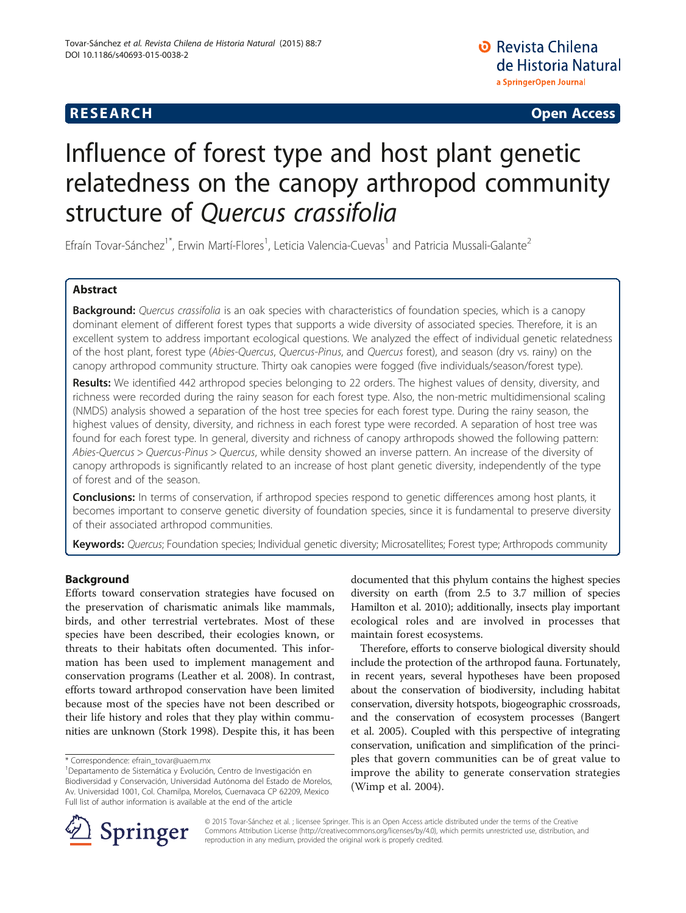# **RESEARCH CHINESE ARCH CHINESE ARCH CHINESE ARCH <b>CHINESE ARCH**

# Influence of forest type and host plant genetic relatedness on the canopy arthropod community structure of Quercus crassifolia

Efraín Tovar-Sánchez<sup>1\*</sup>, Erwin Martí-Flores<sup>1</sup>, Leticia Valencia-Cuevas<sup>1</sup> and Patricia Mussali-Galante<sup>2</sup>

## Abstract

Background: Quercus crassifolia is an oak species with characteristics of foundation species, which is a canopy dominant element of different forest types that supports a wide diversity of associated species. Therefore, it is an excellent system to address important ecological questions. We analyzed the effect of individual genetic relatedness of the host plant, forest type (Abies-Quercus, Quercus-Pinus, and Quercus forest), and season (dry vs. rainy) on the canopy arthropod community structure. Thirty oak canopies were fogged (five individuals/season/forest type).

Results: We identified 442 arthropod species belonging to 22 orders. The highest values of density, diversity, and richness were recorded during the rainy season for each forest type. Also, the non-metric multidimensional scaling (NMDS) analysis showed a separation of the host tree species for each forest type. During the rainy season, the highest values of density, diversity, and richness in each forest type were recorded. A separation of host tree was found for each forest type. In general, diversity and richness of canopy arthropods showed the following pattern: Abies-Quercus > Quercus-Pinus > Quercus, while density showed an inverse pattern. An increase of the diversity of canopy arthropods is significantly related to an increase of host plant genetic diversity, independently of the type of forest and of the season.

Conclusions: In terms of conservation, if arthropod species respond to genetic differences among host plants, it becomes important to conserve genetic diversity of foundation species, since it is fundamental to preserve diversity of their associated arthropod communities.

Keywords: Quercus; Foundation species; Individual genetic diversity; Microsatellites; Forest type; Arthropods community

## Background

Efforts toward conservation strategies have focused on the preservation of charismatic animals like mammals, birds, and other terrestrial vertebrates. Most of these species have been described, their ecologies known, or threats to their habitats often documented. This information has been used to implement management and conservation programs (Leather et al. [2008](#page-9-0)). In contrast, efforts toward arthropod conservation have been limited because most of the species have not been described or their life history and roles that they play within communities are unknown (Stork [1998\)](#page-9-0). Despite this, it has been

documented that this phylum contains the highest species diversity on earth (from 2.5 to 3.7 million of species Hamilton et al. [2010](#page-9-0)); additionally, insects play important ecological roles and are involved in processes that maintain forest ecosystems.

Therefore, efforts to conserve biological diversity should include the protection of the arthropod fauna. Fortunately, in recent years, several hypotheses have been proposed about the conservation of biodiversity, including habitat conservation, diversity hotspots, biogeographic crossroads, and the conservation of ecosystem processes (Bangert et al. [2005](#page-8-0)). Coupled with this perspective of integrating conservation, unification and simplification of the principles that govern communities can be of great value to improve the ability to generate conservation strategies (Wimp et al. [2004](#page-9-0)).



© 2015 Tovar-Sánchez et al. ; licensee Springer. This is an Open Access article distributed under the terms of the Creative Commons Attribution License (<http://creativecommons.org/licenses/by/4.0>), which permits unrestricted use, distribution, and reproduction in any medium, provided the original work is properly credited.

<sup>\*</sup> Correspondence: [efrain\\_tovar@uaem.mx](mailto:efrain_tovar@uaem.mx) <sup>1</sup>

Departamento de Sistemática y Evolución, Centro de Investigación en Biodiversidad y Conservación, Universidad Autónoma del Estado de Morelos, Av. Universidad 1001, Col. Chamilpa, Morelos, Cuernavaca CP 62209, Mexico Full list of author information is available at the end of the article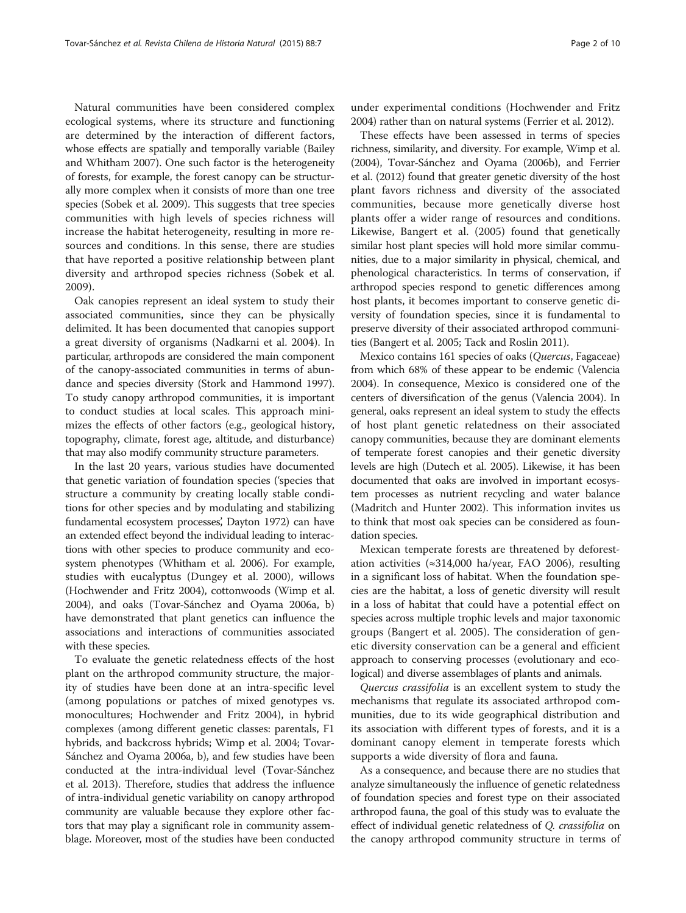Natural communities have been considered complex ecological systems, where its structure and functioning are determined by the interaction of different factors, whose effects are spatially and temporally variable (Bailey and Whitham [2007](#page-8-0)). One such factor is the heterogeneity of forests, for example, the forest canopy can be structurally more complex when it consists of more than one tree species (Sobek et al. [2009\)](#page-9-0). This suggests that tree species communities with high levels of species richness will increase the habitat heterogeneity, resulting in more resources and conditions. In this sense, there are studies that have reported a positive relationship between plant diversity and arthropod species richness (Sobek et al. [2009\)](#page-9-0).

Oak canopies represent an ideal system to study their associated communities, since they can be physically delimited. It has been documented that canopies support a great diversity of organisms (Nadkarni et al. [2004\)](#page-9-0). In particular, arthropods are considered the main component of the canopy-associated communities in terms of abundance and species diversity (Stork and Hammond [1997](#page-9-0)). To study canopy arthropod communities, it is important to conduct studies at local scales. This approach minimizes the effects of other factors (e.g., geological history, topography, climate, forest age, altitude, and disturbance) that may also modify community structure parameters.

In the last 20 years, various studies have documented that genetic variation of foundation species ('species that structure a community by creating locally stable conditions for other species and by modulating and stabilizing fundamental ecosystem processes', Dayton [1972](#page-9-0)) can have an extended effect beyond the individual leading to interactions with other species to produce community and ecosystem phenotypes (Whitham et al. [2006\)](#page-9-0). For example, studies with eucalyptus (Dungey et al. [2000](#page-9-0)), willows (Hochwender and Fritz [2004\)](#page-9-0), cottonwoods (Wimp et al. [2004\)](#page-9-0), and oaks (Tovar-Sánchez and Oyama [2006a](#page-9-0), [b](#page-9-0)) have demonstrated that plant genetics can influence the associations and interactions of communities associated with these species.

To evaluate the genetic relatedness effects of the host plant on the arthropod community structure, the majority of studies have been done at an intra-specific level (among populations or patches of mixed genotypes vs. monocultures; Hochwender and Fritz [2004\)](#page-9-0), in hybrid complexes (among different genetic classes: parentals, F1 hybrids, and backcross hybrids; Wimp et al. [2004;](#page-9-0) Tovar-Sánchez and Oyama [2006a, b](#page-9-0)), and few studies have been conducted at the intra-individual level (Tovar-Sánchez et al. [2013](#page-9-0)). Therefore, studies that address the influence of intra-individual genetic variability on canopy arthropod community are valuable because they explore other factors that may play a significant role in community assemblage. Moreover, most of the studies have been conducted

These effects have been assessed in terms of species richness, similarity, and diversity. For example, Wimp et al. ([2004\)](#page-9-0), Tovar-Sánchez and Oyama ([2006b\)](#page-9-0), and Ferrier et al. [\(2012](#page-9-0)) found that greater genetic diversity of the host plant favors richness and diversity of the associated communities, because more genetically diverse host plants offer a wider range of resources and conditions. Likewise, Bangert et al. ([2005\)](#page-8-0) found that genetically similar host plant species will hold more similar communities, due to a major similarity in physical, chemical, and phenological characteristics. In terms of conservation, if arthropod species respond to genetic differences among host plants, it becomes important to conserve genetic diversity of foundation species, since it is fundamental to preserve diversity of their associated arthropod communities (Bangert et al. [2005](#page-8-0); Tack and Roslin [2011](#page-9-0)).

Mexico contains 161 species of oaks (Quercus, Fagaceae) from which 68% of these appear to be endemic (Valencia [2004\)](#page-9-0). In consequence, Mexico is considered one of the centers of diversification of the genus (Valencia [2004](#page-9-0)). In general, oaks represent an ideal system to study the effects of host plant genetic relatedness on their associated canopy communities, because they are dominant elements of temperate forest canopies and their genetic diversity levels are high (Dutech et al. [2005](#page-9-0)). Likewise, it has been documented that oaks are involved in important ecosystem processes as nutrient recycling and water balance (Madritch and Hunter [2002\)](#page-9-0). This information invites us to think that most oak species can be considered as foundation species.

Mexican temperate forests are threatened by deforestation activities (≈314,000 ha/year, FAO [2006](#page-9-0)), resulting in a significant loss of habitat. When the foundation species are the habitat, a loss of genetic diversity will result in a loss of habitat that could have a potential effect on species across multiple trophic levels and major taxonomic groups (Bangert et al. [2005\)](#page-8-0). The consideration of genetic diversity conservation can be a general and efficient approach to conserving processes (evolutionary and ecological) and diverse assemblages of plants and animals.

Quercus crassifolia is an excellent system to study the mechanisms that regulate its associated arthropod communities, due to its wide geographical distribution and its association with different types of forests, and it is a dominant canopy element in temperate forests which supports a wide diversity of flora and fauna.

As a consequence, and because there are no studies that analyze simultaneously the influence of genetic relatedness of foundation species and forest type on their associated arthropod fauna, the goal of this study was to evaluate the effect of individual genetic relatedness of Q. *crassifolia* on the canopy arthropod community structure in terms of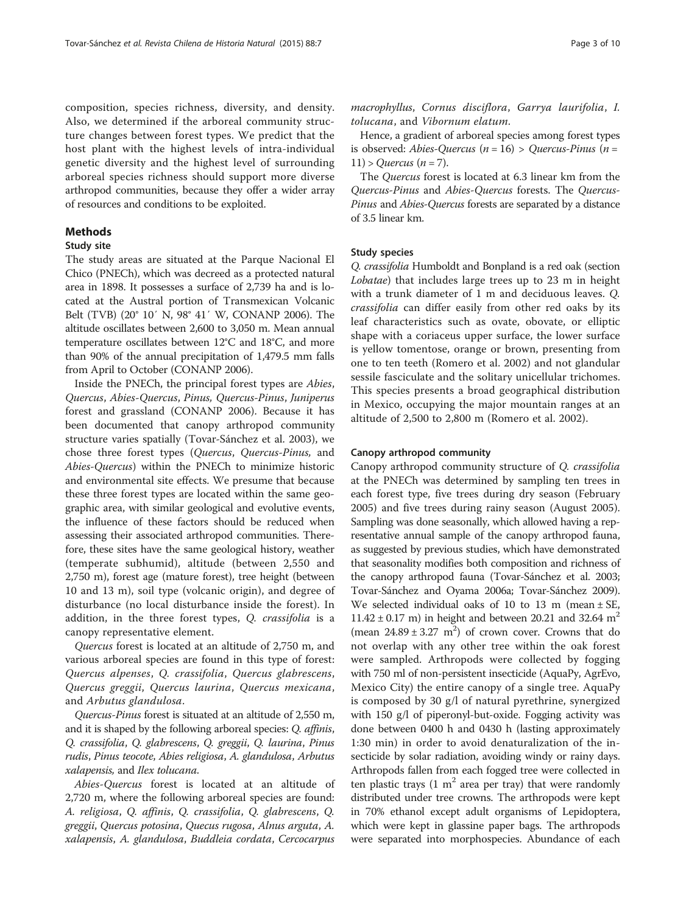composition, species richness, diversity, and density. Also, we determined if the arboreal community structure changes between forest types. We predict that the host plant with the highest levels of intra-individual genetic diversity and the highest level of surrounding

arboreal species richness should support more diverse arthropod communities, because they offer a wider array of resources and conditions to be exploited.

# **Methods**

## Study site

The study areas are situated at the Parque Nacional El Chico (PNECh), which was decreed as a protected natural area in 1898. It possesses a surface of 2,739 ha and is located at the Austral portion of Transmexican Volcanic Belt (TVB) (20° 10′ N, 98° 41′ W, CONANP [2006\)](#page-9-0). The altitude oscillates between 2,600 to 3,050 m. Mean annual temperature oscillates between 12°C and 18°C, and more than 90% of the annual precipitation of 1,479.5 mm falls from April to October (CONANP [2006](#page-9-0)).

Inside the PNECh, the principal forest types are Abies, Quercus, Abies-Quercus, Pinus, Quercus-Pinus, Juniperus forest and grassland (CONANP [2006\)](#page-9-0). Because it has been documented that canopy arthropod community structure varies spatially (Tovar-Sánchez et al. [2003\)](#page-9-0), we chose three forest types (Quercus, Quercus-Pinus, and Abies-Quercus) within the PNECh to minimize historic and environmental site effects. We presume that because these three forest types are located within the same geographic area, with similar geological and evolutive events, the influence of these factors should be reduced when assessing their associated arthropod communities. Therefore, these sites have the same geological history, weather (temperate subhumid), altitude (between 2,550 and 2,750 m), forest age (mature forest), tree height (between 10 and 13 m), soil type (volcanic origin), and degree of disturbance (no local disturbance inside the forest). In addition, in the three forest types, Q. crassifolia is a canopy representative element.

Quercus forest is located at an altitude of 2,750 m, and various arboreal species are found in this type of forest: Quercus alpenses, Q. crassifolia, Quercus glabrescens, Quercus greggii, Quercus laurina, Quercus mexicana, and Arbutus glandulosa.

Quercus-Pinus forest is situated at an altitude of 2,550 m, and it is shaped by the following arboreal species: Q. *affinis*, Q. crassifolia, Q. glabrescens, Q. greggii, Q. laurina, Pinus rudis, Pinus teocote, Abies religiosa, A. glandulosa, Arbutus xalapensis, and Ilex tolucana.

Abies-Quercus forest is located at an altitude of 2,720 m, where the following arboreal species are found: A. religiosa, Q. affinis, Q. crassifolia, Q. glabrescens, Q. greggii, Quercus potosina, Quecus rugosa, Alnus arguta, A. xalapensis, A. glandulosa, Buddleia cordata, Cercocarpus

macrophyllus, Cornus disciflora, Garrya laurifolia, I. tolucana, and Vibornum elatum.

Hence, a gradient of arboreal species among forest types is observed: Abies-Quercus ( $n = 16$ ) > Quercus-Pinus ( $n =$ 11) > Quercus ( $n = 7$ ).

The Quercus forest is located at 6.3 linear km from the Quercus-Pinus and Abies-Quercus forests. The Quercus-Pinus and Abies-Quercus forests are separated by a distance of 3.5 linear km.

## Study species

Q. crassifolia Humboldt and Bonpland is a red oak (section Lobatae) that includes large trees up to 23 m in height with a trunk diameter of 1 m and deciduous leaves. Q. crassifolia can differ easily from other red oaks by its leaf characteristics such as ovate, obovate, or elliptic shape with a coriaceus upper surface, the lower surface is yellow tomentose, orange or brown, presenting from one to ten teeth (Romero et al. [2002\)](#page-9-0) and not glandular sessile fasciculate and the solitary unicellular trichomes. This species presents a broad geographical distribution in Mexico, occupying the major mountain ranges at an altitude of 2,500 to 2,800 m (Romero et al. [2002](#page-9-0)).

## Canopy arthropod community

Canopy arthropod community structure of Q. crassifolia at the PNECh was determined by sampling ten trees in each forest type, five trees during dry season (February 2005) and five trees during rainy season (August 2005). Sampling was done seasonally, which allowed having a representative annual sample of the canopy arthropod fauna, as suggested by previous studies, which have demonstrated that seasonality modifies both composition and richness of the canopy arthropod fauna (Tovar-Sánchez et al. [2003](#page-9-0); Tovar-Sánchez and Oyama [2006a](#page-9-0); Tovar-Sánchez [2009](#page-9-0)). We selected individual oaks of 10 to 13 m (mean  $\pm$  SE, 11.42  $\pm$  0.17 m) in height and between 20.21 and 32.64 m<sup>2</sup> (mean  $24.89 \pm 3.27$  m<sup>2</sup>) of crown cover. Crowns that do not overlap with any other tree within the oak forest were sampled. Arthropods were collected by fogging with 750 ml of non-persistent insecticide (AquaPy, AgrEvo, Mexico City) the entire canopy of a single tree. AquaPy is composed by 30 g/l of natural pyrethrine, synergized with 150 g/l of piperonyl-but-oxide. Fogging activity was done between 0400 h and 0430 h (lasting approximately 1:30 min) in order to avoid denaturalization of the insecticide by solar radiation, avoiding windy or rainy days. Arthropods fallen from each fogged tree were collected in ten plastic trays  $(1 \text{ m}^2 \text{ area per tray})$  that were randomly distributed under tree crowns. The arthropods were kept in 70% ethanol except adult organisms of Lepidoptera, which were kept in glassine paper bags. The arthropods were separated into morphospecies. Abundance of each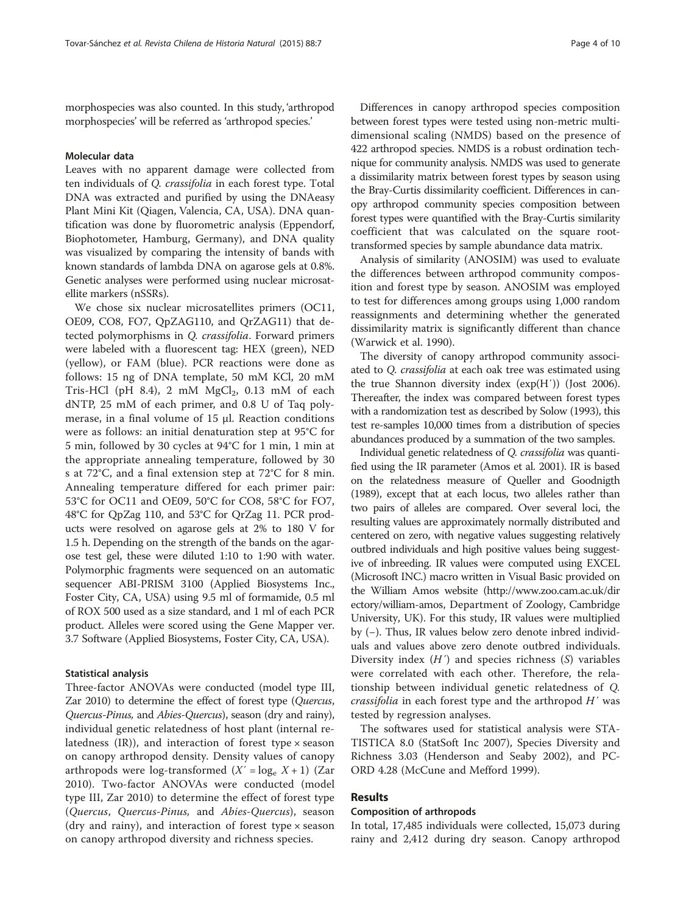morphospecies was also counted. In this study, 'arthropod morphospecies' will be referred as 'arthropod species.'

## Molecular data

Leaves with no apparent damage were collected from ten individuals of Q. crassifolia in each forest type. Total DNA was extracted and purified by using the DNAeasy Plant Mini Kit (Qiagen, Valencia, CA, USA). DNA quantification was done by fluorometric analysis (Eppendorf, Biophotometer, Hamburg, Germany), and DNA quality was visualized by comparing the intensity of bands with known standards of lambda DNA on agarose gels at 0.8%. Genetic analyses were performed using nuclear microsatellite markers (nSSRs).

We chose six nuclear microsatellites primers (OC11, OE09, CO8, FO7, QpZAG110, and QrZAG11) that detected polymorphisms in Q. crassifolia. Forward primers were labeled with a fluorescent tag: HEX (green), NED (yellow), or FAM (blue). PCR reactions were done as follows: 15 ng of DNA template, 50 mM KCl, 20 mM Tris-HCl (pH 8.4), 2 mM  $MgCl<sub>2</sub>$ , 0.13 mM of each dNTP, 25 mM of each primer, and 0.8 U of Taq polymerase, in a final volume of 15 μl. Reaction conditions were as follows: an initial denaturation step at 95°C for 5 min, followed by 30 cycles at 94°C for 1 min, 1 min at the appropriate annealing temperature, followed by 30 s at 72°C, and a final extension step at 72°C for 8 min. Annealing temperature differed for each primer pair: 53°C for OC11 and OE09, 50°C for CO8, 58°C for FO7, 48°C for QpZag 110, and 53°C for QrZag 11. PCR products were resolved on agarose gels at 2% to 180 V for 1.5 h. Depending on the strength of the bands on the agarose test gel, these were diluted 1:10 to 1:90 with water. Polymorphic fragments were sequenced on an automatic sequencer ABI-PRISM 3100 (Applied Biosystems Inc., Foster City, CA, USA) using 9.5 ml of formamide, 0.5 ml of ROX 500 used as a size standard, and 1 ml of each PCR product. Alleles were scored using the Gene Mapper ver. 3.7 Software (Applied Biosystems, Foster City, CA, USA).

### Statistical analysis

Three-factor ANOVAs were conducted (model type III, Zar [2010](#page-9-0)) to determine the effect of forest type (Quercus, Quercus-Pinus, and Abies-Quercus), season (dry and rainy), individual genetic relatedness of host plant (internal relatedness (IR)), and interaction of forest type  $\times$  season on canopy arthropod density. Density values of canopy arthropods were log-transformed  $(X' = log_e X + 1)$  (Zar [2010\)](#page-9-0). Two-factor ANOVAs were conducted (model type III, Zar [2010](#page-9-0)) to determine the effect of forest type (Quercus, Quercus-Pinus, and Abies-Quercus), season (dry and rainy), and interaction of forest type  $\times$  season on canopy arthropod diversity and richness species.

Differences in canopy arthropod species composition between forest types were tested using non-metric multidimensional scaling (NMDS) based on the presence of 422 arthropod species. NMDS is a robust ordination technique for community analysis. NMDS was used to generate a dissimilarity matrix between forest types by season using the Bray-Curtis dissimilarity coefficient. Differences in canopy arthropod community species composition between forest types were quantified with the Bray-Curtis similarity coefficient that was calculated on the square roottransformed species by sample abundance data matrix.

Analysis of similarity (ANOSIM) was used to evaluate the differences between arthropod community composition and forest type by season. ANOSIM was employed to test for differences among groups using 1,000 random reassignments and determining whether the generated dissimilarity matrix is significantly different than chance (Warwick et al. [1990\)](#page-9-0).

The diversity of canopy arthropod community associated to Q. *crassifolia* at each oak tree was estimated using the true Shannon diversity index (exp(H′)) (Jost [2006](#page-9-0)). Thereafter, the index was compared between forest types with a randomization test as described by Solow [\(1993\)](#page-9-0), this test re-samples 10,000 times from a distribution of species abundances produced by a summation of the two samples.

Individual genetic relatedness of Q. crassifolia was quantified using the IR parameter (Amos et al. [2001\)](#page-8-0). IR is based on the relatedness measure of Queller and Goodnigth ([1989\)](#page-9-0), except that at each locus, two alleles rather than two pairs of alleles are compared. Over several loci, the resulting values are approximately normally distributed and centered on zero, with negative values suggesting relatively outbred individuals and high positive values being suggestive of inbreeding. IR values were computed using EXCEL (Microsoft INC.) macro written in Visual Basic provided on the William Amos website ([http://www.zoo.cam.ac.uk/dir](http://www.zoo.cam.ac.uk/directory/william-amos) [ectory/william-amos,](http://www.zoo.cam.ac.uk/directory/william-amos) Department of Zoology, Cambridge University, UK). For this study, IR values were multiplied by (−). Thus, IR values below zero denote inbred individuals and values above zero denote outbred individuals. Diversity index  $(H')$  and species richness  $(S)$  variables were correlated with each other. Therefore, the relationship between individual genetic relatedness of Q. *crassifolia* in each forest type and the arthropod H' was tested by regression analyses.

The softwares used for statistical analysis were STA-TISTICA 8.0 (StatSoft Inc [2007\)](#page-9-0), Species Diversity and Richness 3.03 (Henderson and Seaby [2002](#page-9-0)), and PC-ORD 4.28 (McCune and Mefford [1999\)](#page-9-0).

### Results

### Composition of arthropods

In total, 17,485 individuals were collected, 15,073 during rainy and 2,412 during dry season. Canopy arthropod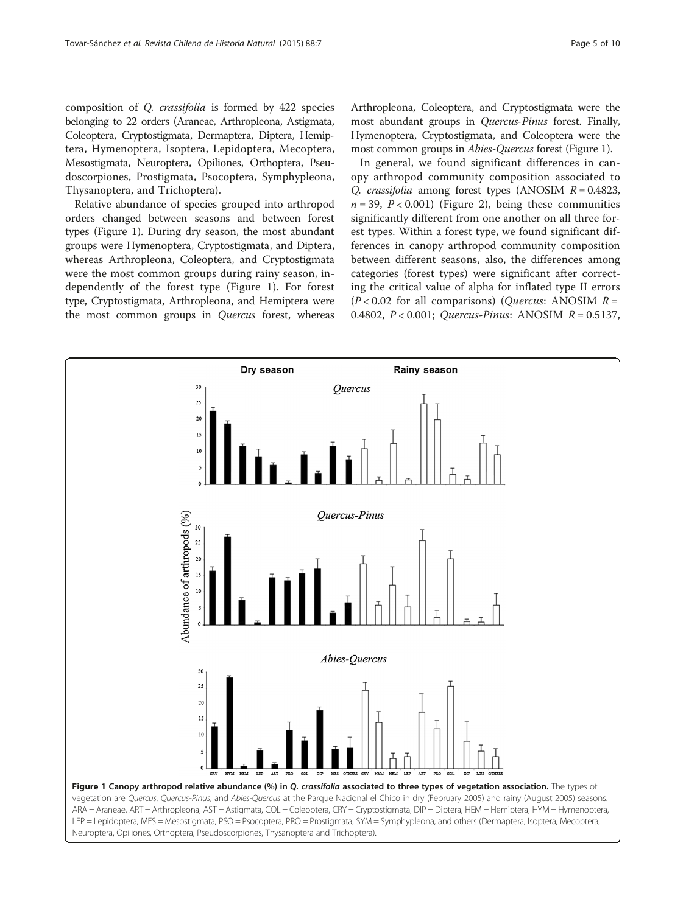composition of Q. crassifolia is formed by 422 species belonging to 22 orders (Araneae, Arthropleona, Astigmata, Coleoptera, Cryptostigmata, Dermaptera, Diptera, Hemiptera, Hymenoptera, Isoptera, Lepidoptera, Mecoptera, Mesostigmata, Neuroptera, Opiliones, Orthoptera, Pseudoscorpiones, Prostigmata, Psocoptera, Symphypleona, Thysanoptera, and Trichoptera).

Relative abundance of species grouped into arthropod orders changed between seasons and between forest types (Figure 1). During dry season, the most abundant groups were Hymenoptera, Cryptostigmata, and Diptera, whereas Arthropleona, Coleoptera, and Cryptostigmata were the most common groups during rainy season, independently of the forest type (Figure 1). For forest type, Cryptostigmata, Arthropleona, and Hemiptera were the most common groups in Quercus forest, whereas Arthropleona, Coleoptera, and Cryptostigmata were the most abundant groups in Quercus-Pinus forest. Finally, Hymenoptera, Cryptostigmata, and Coleoptera were the most common groups in Abies-Quercus forest (Figure 1).

In general, we found significant differences in canopy arthropod community composition associated to Q. crassifolia among forest types (ANOSIM  $R = 0.4823$ ,  $n = 39$ ,  $P < 0.001$ ) (Figure [2\)](#page-5-0), being these communities significantly different from one another on all three forest types. Within a forest type, we found significant differences in canopy arthropod community composition between different seasons, also, the differences among categories (forest types) were significant after correcting the critical value of alpha for inflated type II errors  $(P < 0.02$  for all comparisons) (*Quercus*: ANOSIM  $R =$ 0.4802, P < 0.001; Quercus-Pinus: ANOSIM R = 0.5137,

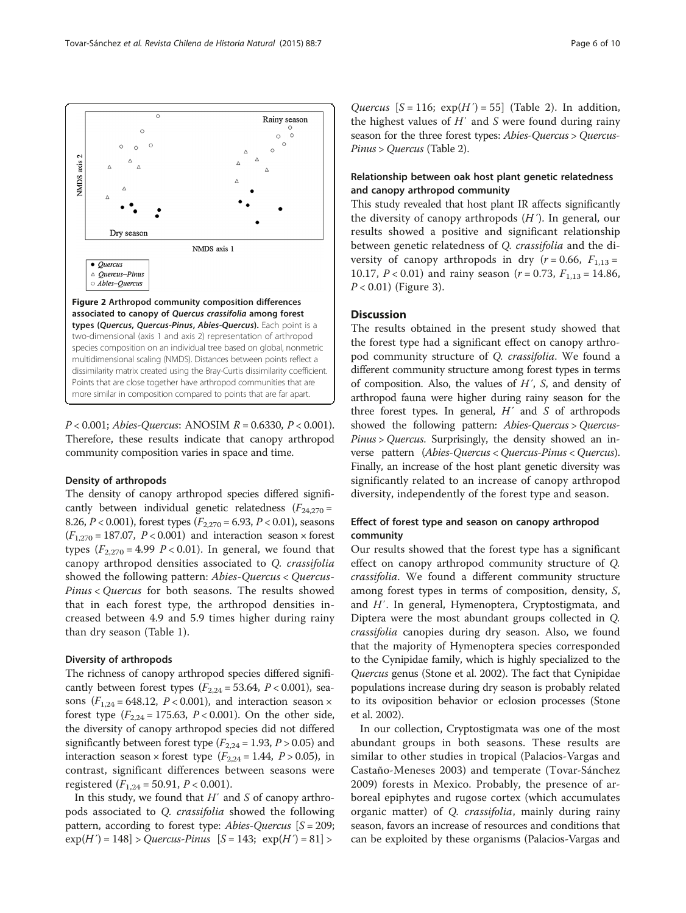<span id="page-5-0"></span>

 $P < 0.001$ ; Abies-Quercus: ANOSIM  $R = 0.6330$ ,  $P < 0.001$ ). Therefore, these results indicate that canopy arthropod community composition varies in space and time.

## Density of arthropods

The density of canopy arthropod species differed significantly between individual genetic relatedness  $(F_{24,270} =$ 8.26,  $P < 0.001$ ), forest types ( $F_{2,270} = 6.93$ ,  $P < 0.01$ ), seasons  $(F_{1,270} = 187.07, P < 0.001)$  and interaction season × forest types  $(F_{2,270} = 4.99 \text{ } P < 0.01)$ . In general, we found that canopy arthropod densities associated to Q. crassifolia showed the following pattern: Abies-Quercus < Quercus-Pinus < Quercus for both seasons. The results showed that in each forest type, the arthropod densities increased between 4.9 and 5.9 times higher during rainy than dry season (Table [1](#page-6-0)).

#### Diversity of arthropods

The richness of canopy arthropod species differed significantly between forest types  $(F_{2,24} = 53.64, P < 0.001)$ , seasons  $(F_{1,24} = 648.12, P < 0.001)$ , and interaction season  $\times$ forest type  $(F_{2,24} = 175.63, P < 0.001)$ . On the other side, the diversity of canopy arthropod species did not differed significantly between forest type ( $F_{2,24}$  = 1.93, P > 0.05) and interaction season × forest type  $(F_{2,24} = 1.44, P > 0.05)$ , in contrast, significant differences between seasons were registered  $(F_{1,24} = 50.91, P < 0.001)$ .

In this study, we found that  $H'$  and  $S$  of canopy arthropods associated to Q. crassifolia showed the following pattern, according to forest type: Abies-Quercus  $[S = 209;$  $exp(H') = 148$ ] > Quercus-Pinus [S = 143;  $exp(H') = 81$ ] >

Quercus  $[S = 116; exp(H')] = 55$  (Table [2](#page-6-0)). In addition, the highest values of  $H'$  and  $S$  were found during rainy season for the three forest types: Abies-Quercus > Quercus-Pinus > Quercus (Table [2](#page-6-0)).

## Relationship between oak host plant genetic relatedness and canopy arthropod community

This study revealed that host plant IR affects significantly the diversity of canopy arthropods  $(H')$ . In general, our results showed a positive and significant relationship between genetic relatedness of Q. crassifolia and the diversity of canopy arthropods in dry ( $r = 0.66$ ,  $F_{1,13} =$ 10.17,  $P < 0.01$ ) and rainy season ( $r = 0.73$ ,  $F_{1,13} = 14.86$ ,  $P < 0.01$ ) (Figure [3\)](#page-7-0).

## **Discussion**

The results obtained in the present study showed that the forest type had a significant effect on canopy arthropod community structure of Q. crassifolia. We found a different community structure among forest types in terms of composition. Also, the values of  $H'$ , S, and density of arthropod fauna were higher during rainy season for the three forest types. In general,  $H'$  and  $S$  of arthropods showed the following pattern: Abies-Quercus > Quercus-Pinus > Quercus. Surprisingly, the density showed an inverse pattern (Abies-Quercus < Quercus-Pinus < Quercus). Finally, an increase of the host plant genetic diversity was significantly related to an increase of canopy arthropod diversity, independently of the forest type and season.

## Effect of forest type and season on canopy arthropod community

Our results showed that the forest type has a significant effect on canopy arthropod community structure of Q. crassifolia. We found a different community structure among forest types in terms of composition, density, S, and H′. In general, Hymenoptera, Cryptostigmata, and Diptera were the most abundant groups collected in Q. crassifolia canopies during dry season. Also, we found that the majority of Hymenoptera species corresponded to the Cynipidae family, which is highly specialized to the Quercus genus (Stone et al. [2002\)](#page-9-0). The fact that Cynipidae populations increase during dry season is probably related to its oviposition behavior or eclosion processes (Stone et al. [2002](#page-9-0)).

In our collection, Cryptostigmata was one of the most abundant groups in both seasons. These results are similar to other studies in tropical (Palacios-Vargas and Castaño-Meneses [2003\)](#page-9-0) and temperate (Tovar-Sánchez [2009\)](#page-9-0) forests in Mexico. Probably, the presence of arboreal epiphytes and rugose cortex (which accumulates organic matter) of Q. crassifolia, mainly during rainy season, favors an increase of resources and conditions that can be exploited by these organisms (Palacios-Vargas and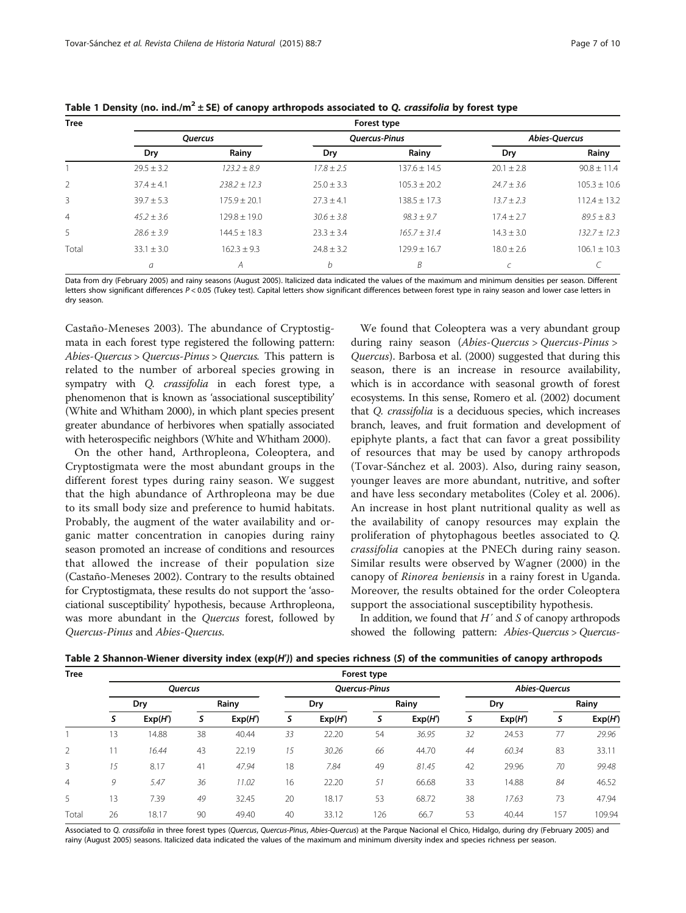| <b>Tree</b>    | Forest type    |                  |                |                      |                |                  |  |  |  |  |
|----------------|----------------|------------------|----------------|----------------------|----------------|------------------|--|--|--|--|
|                |                | <b>Ouercus</b>   |                | <b>Ouercus-Pinus</b> | Abies-Ouercus  |                  |  |  |  |  |
|                | Dry            | Rainy            | <b>Dry</b>     | Rainy                | Dry            | Rainy            |  |  |  |  |
|                | $29.5 \pm 3.2$ | $123.2 \pm 8.9$  | $17.8 \pm 2.5$ | $137.6 \pm 14.5$     | $20.1 \pm 2.8$ | $90.8 \pm 11.4$  |  |  |  |  |
| 2              | $37.4 \pm 4.1$ | $238.2 \pm 12.3$ | $25.0 \pm 3.3$ | $105.3 \pm 20.2$     | $24.7 \pm 3.6$ | $105.3 \pm 10.6$ |  |  |  |  |
| 3              | $39.7 \pm 5.3$ | $175.9 \pm 20.1$ | $27.3 \pm 4.1$ | $138.5 \pm 17.3$     | $13.7 \pm 2.3$ | $112.4 \pm 13.2$ |  |  |  |  |
| $\overline{4}$ | $45.2 \pm 3.6$ | $129.8 \pm 19.0$ | $30.6 \pm 3.8$ | $98.3 \pm 9.7$       | $17.4 \pm 2.7$ | $89.5 \pm 8.3$   |  |  |  |  |
| 5              | $28.6 \pm 3.9$ | $144.5 \pm 18.3$ | $23.3 \pm 3.4$ | $165.7 \pm 31.4$     | $14.3 \pm 3.0$ | $132.7 \pm 12.3$ |  |  |  |  |
| Total          | $33.1 \pm 3.0$ | $162.3 \pm 9.3$  | $24.8 \pm 3.2$ | $129.9 \pm 16.7$     | $18.0 \pm 2.6$ | $106.1 \pm 10.3$ |  |  |  |  |
|                | a              | A                | b              | B                    |                |                  |  |  |  |  |

<span id="page-6-0"></span>Table 1 Density (no. ind./ $m^2 \pm$  SE) of canopy arthropods associated to Q. crassifolia by forest type

Data from dry (February 2005) and rainy seasons (August 2005). Italicized data indicated the values of the maximum and minimum densities per season. Different letters show significant differences P < 0.05 (Tukey test). Capital letters show significant differences between forest type in rainy season and lower case letters in dry season.

Castaño-Meneses [2003\)](#page-9-0). The abundance of Cryptostigmata in each forest type registered the following pattern: Abies-Quercus > Quercus-Pinus > Quercus. This pattern is related to the number of arboreal species growing in sympatry with Q. crassifolia in each forest type, a phenomenon that is known as 'associational susceptibility' (White and Whitham [2000\)](#page-9-0), in which plant species present greater abundance of herbivores when spatially associated with heterospecific neighbors (White and Whitham [2000\)](#page-9-0).

On the other hand, Arthropleona, Coleoptera, and Cryptostigmata were the most abundant groups in the different forest types during rainy season. We suggest that the high abundance of Arthropleona may be due to its small body size and preference to humid habitats. Probably, the augment of the water availability and organic matter concentration in canopies during rainy season promoted an increase of conditions and resources that allowed the increase of their population size (Castaño-Meneses [2002\)](#page-9-0). Contrary to the results obtained for Cryptostigmata, these results do not support the 'associational susceptibility' hypothesis, because Arthropleona, was more abundant in the Quercus forest, followed by Quercus-Pinus and Abies-Quercus.

We found that Coleoptera was a very abundant group during rainy season (Abies-Quercus > Quercus-Pinus > Quercus). Barbosa et al. [\(2000\)](#page-9-0) suggested that during this season, there is an increase in resource availability, which is in accordance with seasonal growth of forest ecosystems. In this sense, Romero et al. [\(2002\)](#page-9-0) document that Q. crassifolia is a deciduous species, which increases branch, leaves, and fruit formation and development of epiphyte plants, a fact that can favor a great possibility of resources that may be used by canopy arthropods (Tovar-Sánchez et al. [2003\)](#page-9-0). Also, during rainy season, younger leaves are more abundant, nutritive, and softer and have less secondary metabolites (Coley et al. [2006](#page-9-0)). An increase in host plant nutritional quality as well as the availability of canopy resources may explain the proliferation of phytophagous beetles associated to Q. crassifolia canopies at the PNECh during rainy season. Similar results were observed by Wagner ([2000\)](#page-9-0) in the canopy of Rinorea beniensis in a rainy forest in Uganda. Moreover, the results obtained for the order Coleoptera support the associational susceptibility hypothesis.

In addition, we found that  $H'$  and  $S$  of canopy arthropods showed the following pattern: Abies-Quercus > Quercus-

| Table 2 Shannon-Wiener diversity index (exp(H')) and species richness (S) of the communities of canopy arthropods |  |  |
|-------------------------------------------------------------------------------------------------------------------|--|--|
|-------------------------------------------------------------------------------------------------------------------|--|--|

| <b>Tree</b>    | Forest type    |         |       |         |                      |         |       |               |     |         |       |         |
|----------------|----------------|---------|-------|---------|----------------------|---------|-------|---------------|-----|---------|-------|---------|
|                | <b>Ouercus</b> |         |       |         | <b>Quercus-Pinus</b> |         |       | Abies-Quercus |     |         |       |         |
|                | Dry            |         | Rainy |         | Dry                  |         | Rainy |               | Dry |         | Rainy |         |
|                | s              | Exp(H') | s     | Exp(H') | s                    | Exp(H') | S     | Exp(H')       | s   | Exp(H') | S     | Exp(H') |
|                | 13             | 14.88   | 38    | 40.44   | 33                   | 22.20   | 54    | 36.95         | 32  | 24.53   | 77    | 29.96   |
| $\overline{2}$ | ш              | 16.44   | 43    | 22.19   | 15                   | 30.26   | 66    | 44.70         | 44  | 60.34   | 83    | 33.11   |
| 3              | 15             | 8.17    | 41    | 47.94   | 18                   | 7.84    | 49    | 81.45         | 42  | 29.96   | 70    | 99.48   |
| 4              | 9              | 5.47    | 36    | 11.02   | 16                   | 22.20   | 51    | 66.68         | 33  | 14.88   | 84    | 46.52   |
| 5              | 13             | 7.39    | 49    | 32.45   | 20                   | 18.17   | 53    | 68.72         | 38  | 17.63   | 73    | 47.94   |
| Total          | 26             | 18.17   | 90    | 49.40   | 40                   | 33.12   | 126   | 66.7          | 53  | 40.44   | 157   | 109.94  |

Associated to Q. crassifolia in three forest types (Quercus, Quercus-Pinus, Abies-Quercus) at the Parque Nacional el Chico, Hidalgo, during dry (February 2005) and rainy (August 2005) seasons. Italicized data indicated the values of the maximum and minimum diversity index and species richness per season.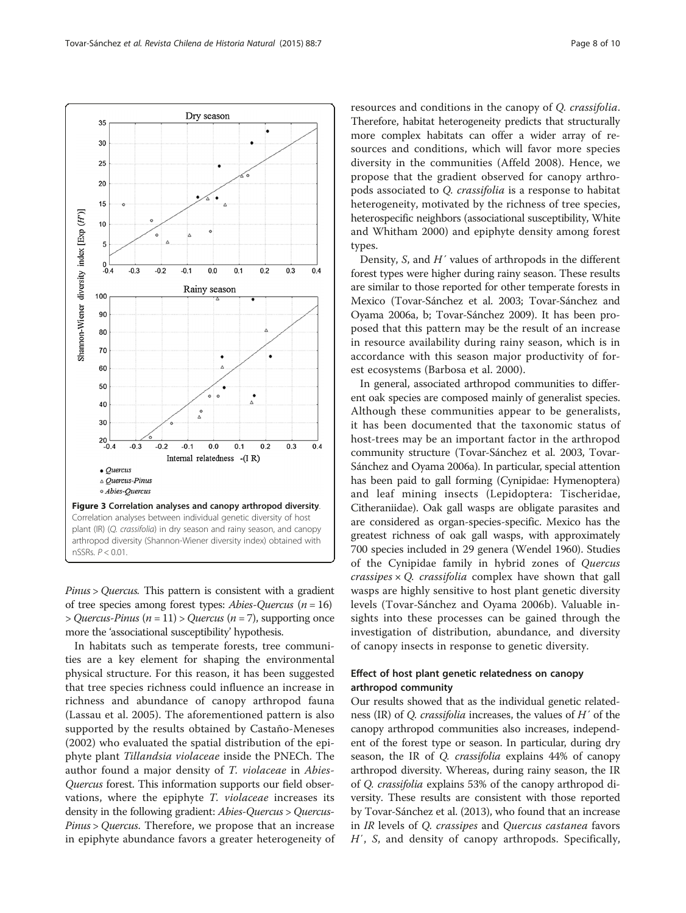Pinus > Quercus. This pattern is consistent with a gradient of tree species among forest types: Abies-Quercus ( $n = 16$ )  $>$  Quercus-Pinus (n = 11)  $>$  Quercus (n = 7), supporting once more the 'associational susceptibility' hypothesis.

Figure 3 Correlation analyses and canopy arthropod diversity. Correlation analyses between individual genetic diversity of host plant (IR) (Q. crassifolia) in dry season and rainy season, and canopy arthropod diversity (Shannon-Wiener diversity index) obtained with

 $_{\Delta}^{\circ}$ 

 $0.0$ 

Internal relatedness -(IR)

 $0.1$ 

 $0.2$ 

 $0.3$ 

 $0<sub>A</sub>$ 

 $-0.1$ 

nSSRs. P < 0.01.

30  $20$ <sub>-0.4</sub>

> $\bullet$  Ouercus △ Quercus-Pinus o Abies-Ouercus

 $-0.3$ 

 $-0.2$ 

In habitats such as temperate forests, tree communities are a key element for shaping the environmental physical structure. For this reason, it has been suggested that tree species richness could influence an increase in richness and abundance of canopy arthropod fauna (Lassau et al. [2005\)](#page-9-0). The aforementioned pattern is also supported by the results obtained by Castaño-Meneses ([2002\)](#page-9-0) who evaluated the spatial distribution of the epiphyte plant Tillandsia violaceae inside the PNECh. The author found a major density of T. violaceae in Abies-Quercus forest. This information supports our field observations, where the epiphyte *T. violaceae* increases its density in the following gradient: Abies-Quercus > Quercus-Pinus > Quercus. Therefore, we propose that an increase in epiphyte abundance favors a greater heterogeneity of resources and conditions in the canopy of Q. crassifolia. Therefore, habitat heterogeneity predicts that structurally more complex habitats can offer a wider array of resources and conditions, which will favor more species diversity in the communities (Affeld [2008\)](#page-8-0). Hence, we propose that the gradient observed for canopy arthropods associated to Q. crassifolia is a response to habitat heterogeneity, motivated by the richness of tree species, heterospecific neighbors (associational susceptibility, White and Whitham [2000](#page-9-0)) and epiphyte density among forest types.

Density, S, and H′ values of arthropods in the different forest types were higher during rainy season. These results are similar to those reported for other temperate forests in Mexico (Tovar-Sánchez et al. [2003](#page-9-0); Tovar-Sánchez and Oyama [2006a](#page-9-0), [b](#page-9-0); Tovar-Sánchez [2009](#page-9-0)). It has been proposed that this pattern may be the result of an increase in resource availability during rainy season, which is in accordance with this season major productivity of forest ecosystems (Barbosa et al. [2000\)](#page-9-0).

In general, associated arthropod communities to different oak species are composed mainly of generalist species. Although these communities appear to be generalists, it has been documented that the taxonomic status of host-trees may be an important factor in the arthropod community structure (Tovar-Sánchez et al. [2003,](#page-9-0) Tovar-Sánchez and Oyama [2006a](#page-9-0)). In particular, special attention has been paid to gall forming (Cynipidae: Hymenoptera) and leaf mining insects (Lepidoptera: Tischeridae, Citheraniidae). Oak gall wasps are obligate parasites and are considered as organ-species-specific. Mexico has the greatest richness of oak gall wasps, with approximately 700 species included in 29 genera (Wendel [1960](#page-9-0)). Studies of the Cynipidae family in hybrid zones of Quercus *crassipes*  $\times$  *Q. crassifolia* complex have shown that gall wasps are highly sensitive to host plant genetic diversity levels (Tovar-Sánchez and Oyama [2006b](#page-9-0)). Valuable insights into these processes can be gained through the investigation of distribution, abundance, and diversity of canopy insects in response to genetic diversity.

## Effect of host plant genetic relatedness on canopy arthropod community

Our results showed that as the individual genetic relatedness (IR) of *Q. crassifolia* increases, the values of  $H'$  of the canopy arthropod communities also increases, independent of the forest type or season. In particular, during dry season, the IR of Q. *crassifolia* explains 44% of canopy arthropod diversity. Whereas, during rainy season, the IR of Q. crassifolia explains 53% of the canopy arthropod diversity. These results are consistent with those reported by Tovar-Sánchez et al. [\(2013](#page-9-0)), who found that an increase in IR levels of Q. crassipes and Quercus castanea favors H′, S, and density of canopy arthropods. Specifically,

<span id="page-7-0"></span>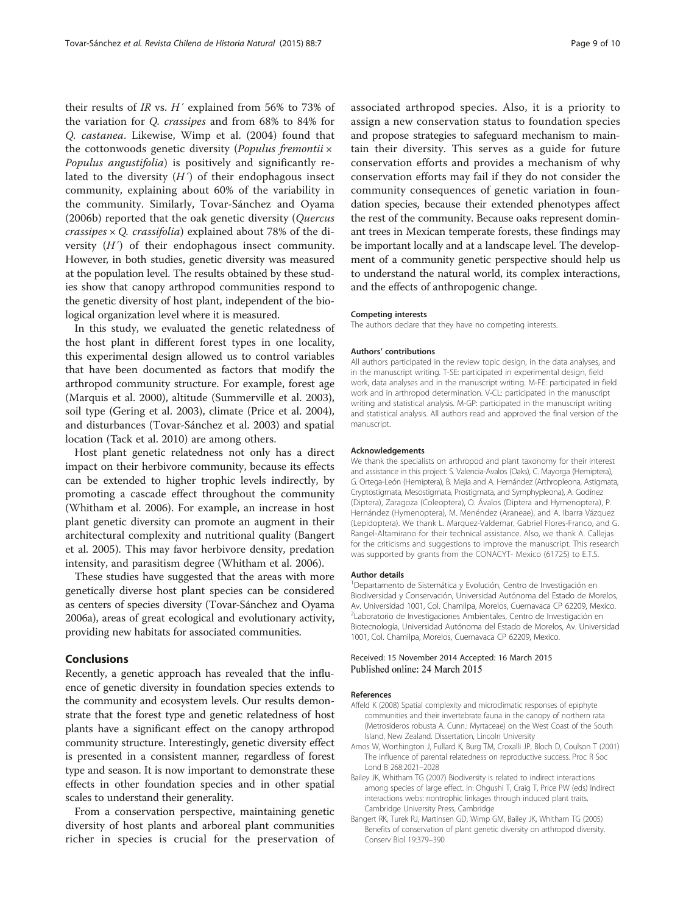<span id="page-8-0"></span>their results of IR vs. H′ explained from 56% to 73% of the variation for Q. crassipes and from 68% to 84% for Q. castanea. Likewise, Wimp et al. [\(2004](#page-9-0)) found that the cottonwoods genetic diversity (Populus fremontii × Populus angustifolia) is positively and significantly related to the diversity  $(H')$  of their endophagous insect community, explaining about 60% of the variability in the community. Similarly, Tovar-Sánchez and Oyama ([2006b](#page-9-0)) reported that the oak genetic diversity (Quercus crassipes  $\times$  Q. crassifolia) explained about 78% of the diversity  $(H')$  of their endophagous insect community. However, in both studies, genetic diversity was measured at the population level. The results obtained by these studies show that canopy arthropod communities respond to the genetic diversity of host plant, independent of the biological organization level where it is measured.

In this study, we evaluated the genetic relatedness of the host plant in different forest types in one locality, this experimental design allowed us to control variables that have been documented as factors that modify the arthropod community structure. For example, forest age (Marquis et al. [2000\)](#page-9-0), altitude (Summerville et al. [2003](#page-9-0)), soil type (Gering et al. [2003\)](#page-9-0), climate (Price et al. [2004](#page-9-0)), and disturbances (Tovar-Sánchez et al. [2003\)](#page-9-0) and spatial location (Tack et al. [2010](#page-9-0)) are among others.

Host plant genetic relatedness not only has a direct impact on their herbivore community, because its effects can be extended to higher trophic levels indirectly, by promoting a cascade effect throughout the community (Whitham et al. [2006\)](#page-9-0). For example, an increase in host plant genetic diversity can promote an augment in their architectural complexity and nutritional quality (Bangert et al. 2005). This may favor herbivore density, predation intensity, and parasitism degree (Whitham et al. [2006](#page-9-0)).

These studies have suggested that the areas with more genetically diverse host plant species can be considered as centers of species diversity (Tovar-Sánchez and Oyama [2006a](#page-9-0)), areas of great ecological and evolutionary activity, providing new habitats for associated communities.

## **Conclusions**

Recently, a genetic approach has revealed that the influence of genetic diversity in foundation species extends to the community and ecosystem levels. Our results demonstrate that the forest type and genetic relatedness of host plants have a significant effect on the canopy arthropod community structure. Interestingly, genetic diversity effect is presented in a consistent manner, regardless of forest type and season. It is now important to demonstrate these effects in other foundation species and in other spatial scales to understand their generality.

From a conservation perspective, maintaining genetic diversity of host plants and arboreal plant communities richer in species is crucial for the preservation of associated arthropod species. Also, it is a priority to assign a new conservation status to foundation species and propose strategies to safeguard mechanism to maintain their diversity. This serves as a guide for future conservation efforts and provides a mechanism of why conservation efforts may fail if they do not consider the community consequences of genetic variation in foundation species, because their extended phenotypes affect the rest of the community. Because oaks represent dominant trees in Mexican temperate forests, these findings may be important locally and at a landscape level. The development of a community genetic perspective should help us to understand the natural world, its complex interactions, and the effects of anthropogenic change.

#### Competing interests

The authors declare that they have no competing interests.

#### Authors' contributions

All authors participated in the review topic design, in the data analyses, and in the manuscript writing. T-SE: participated in experimental design, field work, data analyses and in the manuscript writing. M-FE: participated in field work and in arthropod determination. V-CL: participated in the manuscript writing and statistical analysis. M-GP: participated in the manuscript writing and statistical analysis. All authors read and approved the final version of the manuscript.

#### Acknowledgements

We thank the specialists on arthropod and plant taxonomy for their interest and assistance in this project: S. Valencia-Avalos (Oaks), C. Mayorga (Hemiptera), G. Ortega-León (Hemiptera), B. Mejía and A. Hernández (Arthropleona, Astigmata, Cryptostigmata, Mesostigmata, Prostigmata, and Symphypleona), A. Godínez (Diptera), Zaragoza (Coleoptera), O. Ávalos (Diptera and Hymenoptera), P. Hernández (Hymenoptera), M. Menéndez (Araneae), and A. Ibarra Vázquez (Lepidoptera). We thank L. Marquez-Valdemar, Gabriel Flores-Franco, and G. Rangel-Altamirano for their technical assistance. Also, we thank A. Callejas for the criticisms and suggestions to improve the manuscript. This research was supported by grants from the CONACYT- Mexico (61725) to E.T.S.

#### Author details

1 Departamento de Sistemática y Evolución, Centro de Investigación en Biodiversidad y Conservación, Universidad Autónoma del Estado de Morelos, Av. Universidad 1001, Col. Chamilpa, Morelos, Cuernavaca CP 62209, Mexico. <sup>2</sup>Laboratorio de Investigaciones Ambientales, Centro de Investigación en Biotecnología, Universidad Autónoma del Estado de Morelos, Av. Universidad 1001, Col. Chamilpa, Morelos, Cuernavaca CP 62209, Mexico.

### Received: 15 November 2014 Accepted: 16 March 2015 Published online: 24 March 2015

#### References

- Affeld K (2008) Spatial complexity and microclimatic responses of epiphyte communities and their invertebrate fauna in the canopy of northern rata (Metrosideros robusta A. Cunn.: Myrtaceae) on the West Coast of the South Island, New Zealand. Dissertation, Lincoln University
- Amos W, Worthington J, Fullard K, Burg TM, Croxalli JP, Bloch D, Coulson T (2001) The influence of parental relatedness on reproductive success. Proc R Soc Lond B 268:2021–2028
- Bailey JK, Whitham TG (2007) Biodiversity is related to indirect interactions among species of large effect. In: Ohgushi T, Craig T, Price PW (eds) Indirect interactions webs: nontrophic linkages through induced plant traits. Cambridge University Press, Cambridge
- Bangert RK, Turek RJ, Martinsen GD, Wimp GM, Bailey JK, Whitham TG (2005) Benefits of conservation of plant genetic diversity on arthropod diversity. Conserv Biol 19:379–390